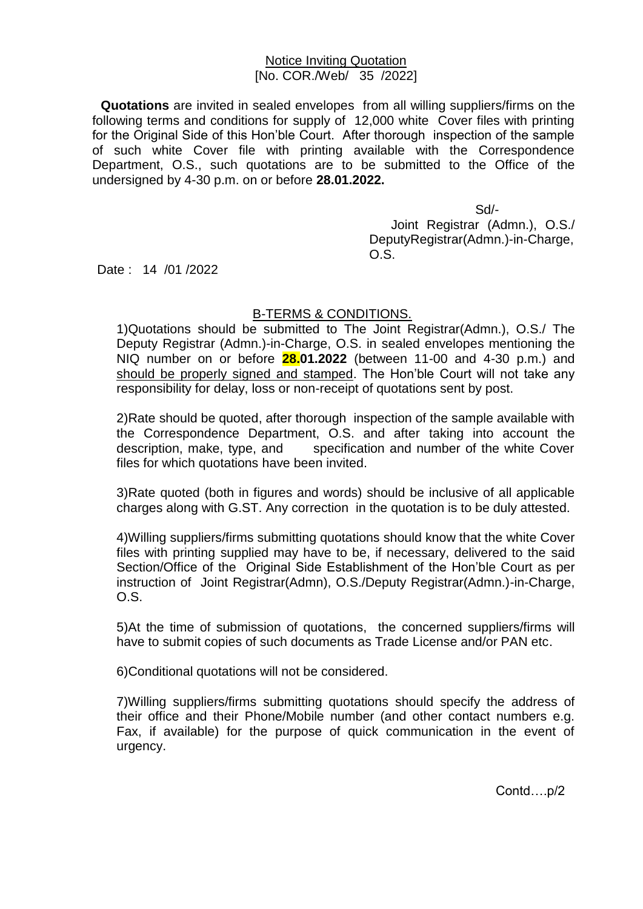## Notice Inviting Quotation [No. COR./Web/ 35 /2022]

**Quotations** are invited in sealed envelopes from all willing suppliers/firms on the following terms and conditions for supply of 12,000 white Cover files with printing for the Original Side of this Hon'ble Court. After thorough inspection of the sample of such white Cover file with printing available with the Correspondence Department, O.S., such quotations are to be submitted to the Office of the undersigned by 4-30 p.m. on or before **28.01.2022.**

 Sd/- Joint Registrar (Admn.), O.S./ DeputyRegistrar(Admn.)-in-Charge, O.S.

Date : 14 /01 /2022

## B-TERMS & CONDITIONS.

1)Quotations should be submitted to The Joint Registrar(Admn.), O.S./ The Deputy Registrar (Admn.)-in-Charge, O.S. in sealed envelopes mentioning the NIQ number on or before **28.01.2022** (between 11-00 and 4-30 p.m.) and should be properly signed and stamped. The Hon'ble Court will not take any responsibility for delay, loss or non-receipt of quotations sent by post.

2)Rate should be quoted, after thorough inspection of the sample available with the Correspondence Department, O.S. and after taking into account the description, make, type, and specification and number of the white Cover files for which quotations have been invited.

3)Rate quoted (both in figures and words) should be inclusive of all applicable charges along with G.ST. Any correction in the quotation is to be duly attested.

4)Willing suppliers/firms submitting quotations should know that the white Cover files with printing supplied may have to be, if necessary, delivered to the said Section/Office of the Original Side Establishment of the Hon'ble Court as per instruction of Joint Registrar(Admn), O.S./Deputy Registrar(Admn.)-in-Charge, O.S.

5)At the time of submission of quotations, the concerned suppliers/firms will have to submit copies of such documents as Trade License and/or PAN etc.

6)Conditional quotations will not be considered.

7)Willing suppliers/firms submitting quotations should specify the address of their office and their Phone/Mobile number (and other contact numbers e.g. Fax, if available) for the purpose of quick communication in the event of urgency.

Contd….p/2